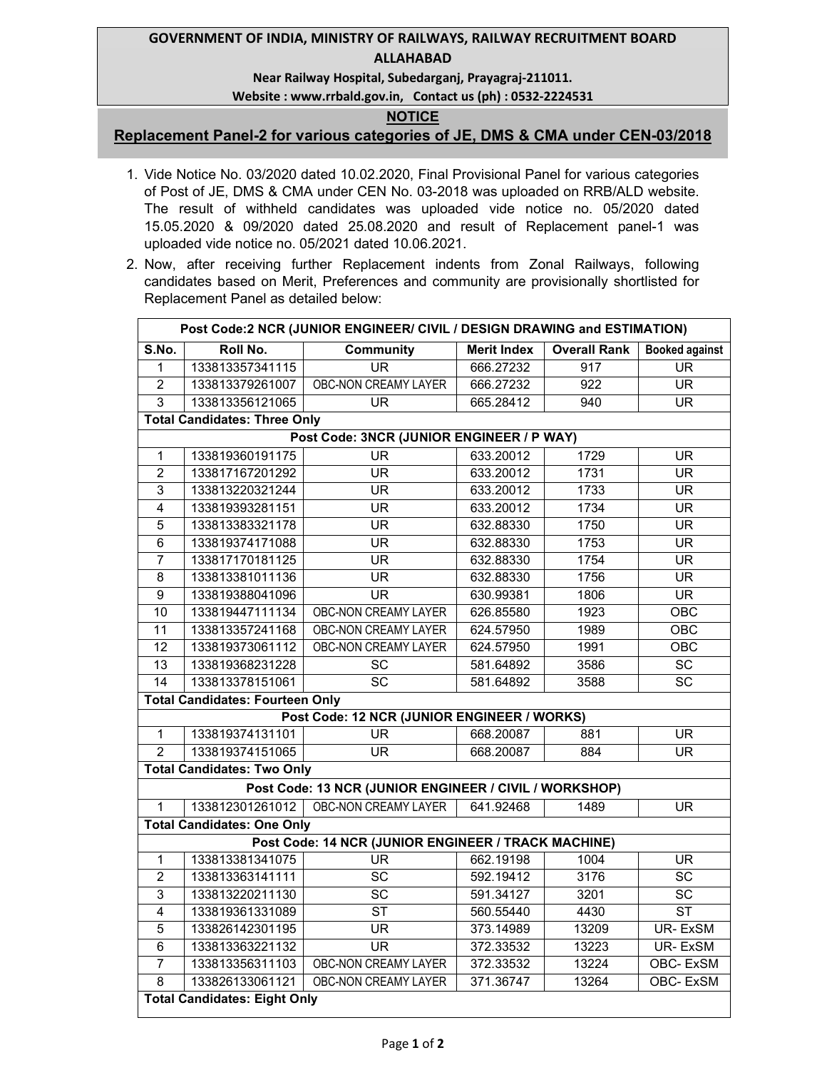## **GOVERNMENT OF INDIA, MINISTRY OF RAILWAYS, RAILWAY RECRUITMENT BOARD ALLAHABAD**

### **Near Railway Hospital, Subedarganj, Prayagraj-211011.**

### **Website : www.rrbald.gov.in, Contact us (ph) : 0532-2224531**

## **NOTICE**

# **Replacement Panel-2 for various categories of JE, DMS & CMA under CEN-03/2018**

- 1. Vide Notice No. 03/2020 dated 10.02.2020, Final Provisional Panel for various categories of Post of JE, DMS & CMA under CEN No. 03-2018 was uploaded on RRB/ALD website. The result of withheld candidates was uploaded vide notice no. 05/2020 dated 15.05.2020 & 09/2020 dated 25.08.2020 and result of Replacement panel-1 was uploaded vide notice no. 05/2021 dated 10.06.2021.
- 2. Now, after receiving further Replacement indents from Zonal Railways, following candidates based on Merit, Preferences and community are provisionally shortlisted for Replacement Panel as detailed below:

| Post Code:2 NCR (JUNIOR ENGINEER/ CIVIL / DESIGN DRAWING and ESTIMATION) |                                        |                                                        |                    |                     |                          |  |  |  |  |  |
|--------------------------------------------------------------------------|----------------------------------------|--------------------------------------------------------|--------------------|---------------------|--------------------------|--|--|--|--|--|
| S.No.                                                                    | Roll No.                               | <b>Community</b>                                       | <b>Merit Index</b> | <b>Overall Rank</b> | <b>Booked against</b>    |  |  |  |  |  |
| $\overline{1}$                                                           | 133813357341115                        | $\overline{\mathsf{UR}}$                               | 666.27232          | 917                 | $\overline{\mathsf{UR}}$ |  |  |  |  |  |
| $\overline{2}$                                                           | 133813379261007                        | OBC-NON CREAMY LAYER                                   | 666.27232          | $\overline{922}$    | $\overline{\mathsf{UR}}$ |  |  |  |  |  |
| 3                                                                        | 133813356121065                        | UR                                                     | 665.28412          | 940                 | $\overline{\mathsf{UR}}$ |  |  |  |  |  |
| <b>Total Candidates: Three Only</b>                                      |                                        |                                                        |                    |                     |                          |  |  |  |  |  |
| Post Code: 3NCR (JUNIOR ENGINEER / P WAY)                                |                                        |                                                        |                    |                     |                          |  |  |  |  |  |
| $\overline{1}$                                                           | 133819360191175                        | $\overline{\mathsf{UR}}$                               | 633.20012          | 1729                |                          |  |  |  |  |  |
| $\overline{2}$                                                           | 133817167201292                        | $\overline{\mathsf{UR}}$                               | 633.20012<br>1731  |                     | $\overline{\mathsf{UR}}$ |  |  |  |  |  |
| 3                                                                        | 133813220321244                        | 633.20012<br>$\overline{\mathsf{UR}}$                  |                    | 1733                | $\overline{\mathsf{UR}}$ |  |  |  |  |  |
| 4                                                                        | 133819393281151                        | <b>UR</b>                                              | 633.20012          | 1734                | $\overline{\mathsf{UR}}$ |  |  |  |  |  |
| $\overline{5}$                                                           | 133813383321178                        | <b>UR</b>                                              | 632.88330          | 1750                | $\overline{\mathsf{UR}}$ |  |  |  |  |  |
| $\overline{6}$                                                           | 133819374171088                        | <b>UR</b>                                              | 632.88330          | 1753                | <b>UR</b>                |  |  |  |  |  |
| $\overline{7}$                                                           | 133817170181125                        | <b>UR</b>                                              | 632.88330          | 1754                | $\overline{\mathsf{UR}}$ |  |  |  |  |  |
| $\overline{8}$                                                           | 133813381011136                        | $\overline{\mathsf{UR}}$                               | 632.88330          | 1756                | $\overline{\mathsf{UR}}$ |  |  |  |  |  |
| $\overline{9}$                                                           | 133819388041096                        | $\overline{\mathsf{UR}}$                               | 630.99381          | 1806                | $\overline{\mathsf{UR}}$ |  |  |  |  |  |
| $\overline{10}$                                                          | 133819447111134                        | <b>OBC-NON CREAMY LAYER</b>                            | 626.85580          | 1923                | OBC                      |  |  |  |  |  |
| $\overline{11}$                                                          | 133813357241168                        | <b>OBC-NON CREAMY LAYER</b>                            | 624.57950          | 1989                | OBC                      |  |  |  |  |  |
| $\overline{12}$                                                          | 133819373061112                        | <b>OBC-NON CREAMY LAYER</b>                            | 624.57950          | 1991                | OBC                      |  |  |  |  |  |
| 13                                                                       | 133819368231228                        | SC                                                     | 581.64892          | 3586                | $\overline{SC}$          |  |  |  |  |  |
| 14                                                                       | 133813378151061                        | $\overline{SC}$                                        | 581.64892          | 3588                | $\overline{SC}$          |  |  |  |  |  |
|                                                                          | <b>Total Candidates: Fourteen Only</b> |                                                        |                    |                     |                          |  |  |  |  |  |
|                                                                          |                                        | Post Code: 12 NCR (JUNIOR ENGINEER / WORKS)            |                    |                     |                          |  |  |  |  |  |
| $\overline{1}$                                                           | 133819374131101                        | UR.                                                    | 668.20087<br>881   |                     | <b>UR</b>                |  |  |  |  |  |
| $\overline{2}$                                                           | 133819374151065                        | $\overline{\mathsf{UR}}$                               | 668.20087          | 884                 | $\overline{\mathsf{UR}}$ |  |  |  |  |  |
|                                                                          | <b>Total Candidates: Two Only</b>      |                                                        |                    |                     |                          |  |  |  |  |  |
|                                                                          |                                        | Post Code: 13 NCR (JUNIOR ENGINEER / CIVIL / WORKSHOP) |                    |                     |                          |  |  |  |  |  |
| 1                                                                        | 133812301261012                        | <b>OBC-NON CREAMY LAYER</b>                            | 641.92468          | 1489                | <b>UR</b>                |  |  |  |  |  |
|                                                                          | <b>Total Candidates: One Only</b>      |                                                        |                    |                     |                          |  |  |  |  |  |
| Post Code: 14 NCR (JUNIOR ENGINEER / TRACK MACHINE)                      |                                        |                                                        |                    |                     |                          |  |  |  |  |  |
| $\overline{1}$                                                           | 133813381341075                        | $\overline{\mathsf{UR}}$                               | 662.19198          | 1004                | $\overline{\mathsf{UR}}$ |  |  |  |  |  |
| $\overline{2}$                                                           | 133813363141111                        | $\overline{SC}$                                        | 592.19412          | 3176                | $\overline{SC}$          |  |  |  |  |  |
| 3                                                                        | 133813220211130                        | $\overline{SC}$                                        | 591.34127          | 3201                | $\overline{SC}$          |  |  |  |  |  |
| $\overline{4}$                                                           | 133819361331089                        | $\overline{\text{ST}}$                                 | 560.55440          | 4430                | $\overline{\text{ST}}$   |  |  |  |  |  |
| $\overline{5}$                                                           | 133826142301195                        | $\overline{\mathsf{UR}}$                               | 373.14989          | 13209               | <b>UR-ExSM</b>           |  |  |  |  |  |
| 6                                                                        | 133813363221132                        | <b>UR</b>                                              | 372.33532          | 13223               | <b>UR-ExSM</b>           |  |  |  |  |  |
| $\overline{7}$                                                           | 133813356311103                        | OBC-NON CREAMY LAYER                                   | 372.33532          | 13224               | OBC-ExSM                 |  |  |  |  |  |
| $\overline{8}$                                                           | 133826133061121                        | OBC-NON CREAMY LAYER                                   | 371.36747          | 13264               | OBC-ExSM                 |  |  |  |  |  |
| <b>Total Candidates: Eight Only</b>                                      |                                        |                                                        |                    |                     |                          |  |  |  |  |  |